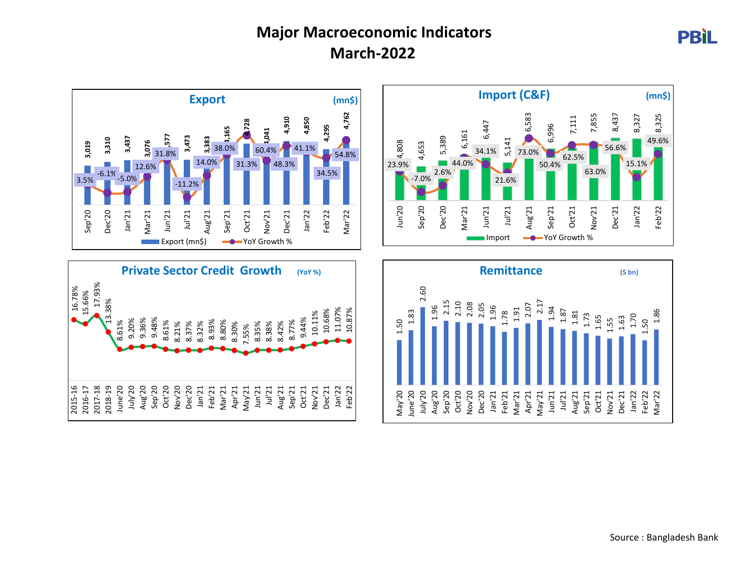## **Major Macroeconomic Indicators March-2022**









**PBIL**